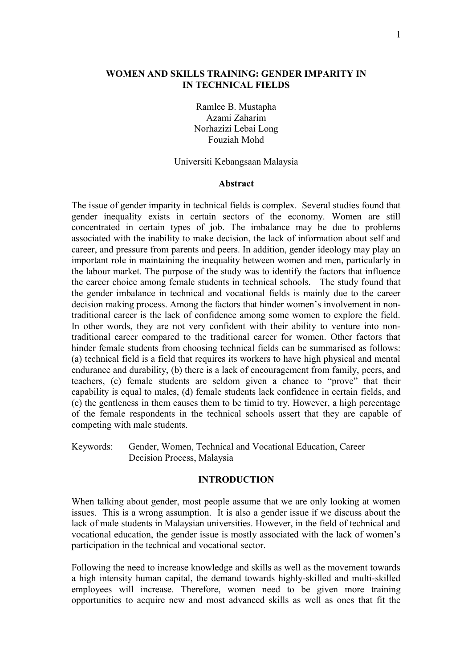### **WOMEN AND SKILLS TRAINING: GENDER IMPARITY IN IN TECHNICAL FIELDS**

Ramlee B. Mustapha Azami Zaharim Norhazizi Lebai Long Fouziah Mohd

Universiti Kebangsaan Malaysia

#### **Abstract**

The issue of gender imparity in technical fields is complex. Several studies found that gender inequality exists in certain sectors of the economy. Women are still concentrated in certain types of job. The imbalance may be due to problems associated with the inability to make decision, the lack of information about self and career, and pressure from parents and peers. In addition, gender ideology may play an important role in maintaining the inequality between women and men, particularly in the labour market. The purpose of the study was to identify the factors that influence the career choice among female students in technical schools. The study found that the gender imbalance in technical and vocational fields is mainly due to the career decision making process. Among the factors that hinder women's involvement in nontraditional career is the lack of confidence among some women to explore the field. In other words, they are not very confident with their ability to venture into nontraditional career compared to the traditional career for women. Other factors that hinder female students from choosing technical fields can be summarised as follows: (a) technical field is a field that requires its workers to have high physical and mental endurance and durability, (b) there is a lack of encouragement from family, peers, and teachers, (c) female students are seldom given a chance to "prove" that their capability is equal to males, (d) female students lack confidence in certain fields, and (e) the gentleness in them causes them to be timid to try. However, a high percentage of the female respondents in the technical schools assert that they are capable of competing with male students.

Keywords: Gender, Women, Technical and Vocational Education, Career Decision Process, Malaysia

# **INTRODUCTION**

When talking about gender, most people assume that we are only looking at women issues. This is a wrong assumption. It is also a gender issue if we discuss about the lack of male students in Malaysian universities. However, in the field of technical and vocational education, the gender issue is mostly associated with the lack of women's participation in the technical and vocational sector.

Following the need to increase knowledge and skills as well as the movement towards a high intensity human capital, the demand towards highly-skilled and multi-skilled employees will increase. Therefore, women need to be given more training opportunities to acquire new and most advanced skills as well as ones that fit the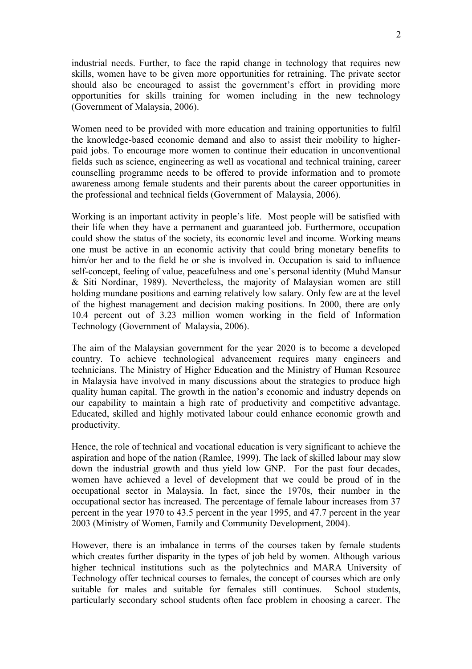industrial needs. Further, to face the rapid change in technology that requires new skills, women have to be given more opportunities for retraining. The private sector should also be encouraged to assist the government's effort in providing more opportunities for skills training for women including in the new technology (Government of Malaysia, 2006).

Women need to be provided with more education and training opportunities to fulfil the knowledge-based economic demand and also to assist their mobility to higherpaid jobs. To encourage more women to continue their education in unconventional fields such as science, engineering as well as vocational and technical training, career counselling programme needs to be offered to provide information and to promote awareness among female students and their parents about the career opportunities in the professional and technical fields (Government of Malaysia, 2006).

Working is an important activity in people's life. Most people will be satisfied with their life when they have a permanent and guaranteed job. Furthermore, occupation could show the status of the society, its economic level and income. Working means one must be active in an economic activity that could bring monetary benefits to him/or her and to the field he or she is involved in. Occupation is said to influence self-concept, feeling of value, peacefulness and one's personal identity (Muhd Mansur & Siti Nordinar, 1989). Nevertheless, the majority of Malaysian women are still holding mundane positions and earning relatively low salary. Only few are at the level of the highest management and decision making positions. In 2000, there are only 10.4 percent out of 3.23 million women working in the field of Information Technology (Government of Malaysia, 2006).

The aim of the Malaysian government for the year 2020 is to become a developed country. To achieve technological advancement requires many engineers and technicians. The Ministry of Higher Education and the Ministry of Human Resource in Malaysia have involved in many discussions about the strategies to produce high quality human capital. The growth in the nation's economic and industry depends on our capability to maintain a high rate of productivity and competitive advantage. Educated, skilled and highly motivated labour could enhance economic growth and productivity.

Hence, the role of technical and vocational education is very significant to achieve the aspiration and hope of the nation (Ramlee, 1999). The lack of skilled labour may slow down the industrial growth and thus yield low GNP. For the past four decades, women have achieved a level of development that we could be proud of in the occupational sector in Malaysia. In fact, since the 1970s, their number in the occupational sector has increased. The percentage of female labour increases from 37 percent in the year 1970 to 43.5 percent in the year 1995, and 47.7 percent in the year 2003 (Ministry of Women, Family and Community Development, 2004).

However, there is an imbalance in terms of the courses taken by female students which creates further disparity in the types of job held by women. Although various higher technical institutions such as the polytechnics and MARA University of Technology offer technical courses to females, the concept of courses which are only suitable for males and suitable for females still continues. School students, particularly secondary school students often face problem in choosing a career. The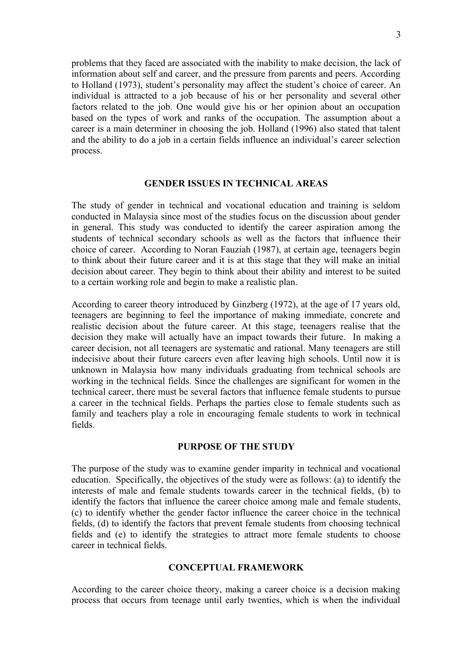problems that they faced are associated with the inability to make decision, the lack of information about self and career, and the pressure from parents and peers. According to Holland (1973), student's personality may affect the student's choice of career. An individual is attracted to a job because of his or her personality and several other factors related to the job. One would give his or her opinion about an occupation based on the types of work and ranks of the occupation. The assumption about a career is a main determiner in choosing the job. Holland (1996) also stated that talent and the ability to do a job in a certain fields influence an individual's career selection process.

#### **GENDER ISSUES IN TECHNICAL AREAS**

The study of gender in technical and vocational education and training is seldom conducted in Malaysia since most of the studies focus on the discussion about gender in general. This study was conducted to identify the career aspiration among the students of technical secondary schools as well as the factors that influence their choice of career. According to Noran Fauziah (1987), at certain age, teenagers begin to think about their future career and it is at this stage that they will make an initial decision about career. They begin to think about their ability and interest to be suited to a certain working role and begin to make a realistic plan.

According to career theory introduced by Ginzberg (1972), at the age of 17 years old, teenagers are beginning to feel the importance of making immediate, concrete and realistic decision about the future career. At this stage, teenagers realise that the decision they make will actually have an impact towards their future. In making a career decision, not all teenagers are systematic and rational. Many teenagers are still indecisive about their future careers even after leaving high schools. Until now it is unknown in Malaysia how many individuals graduating from technical schools are working in the technical fields. Since the challenges are significant for women in the technical career, there must be several factors that influence female students to pursue a career in the technical fields. Perhaps the parties close to female students such as family and teachers play a role in encouraging female students to work in technical fields.

#### **PURPOSE OF THE STUDY**

The purpose of the study was to examine gender imparity in technical and vocational education. Specifically, the objectives of the study were as follows: (a) to identify the interests of male and female students towards career in the technical fields, (b) to identify the factors that influence the career choice among male and female students, (c) to identify whether the gender factor influence the career choice in the technical fields, (d) to identify the factors that prevent female students from choosing technical fields and (e) to identify the strategies to attract more female students to choose career in technical fields.

#### **CONCEPTUAL FRAMEWORK**

According to the career choice theory, making a career choice is a decision making process that occurs from teenage until early twenties, which is when the individual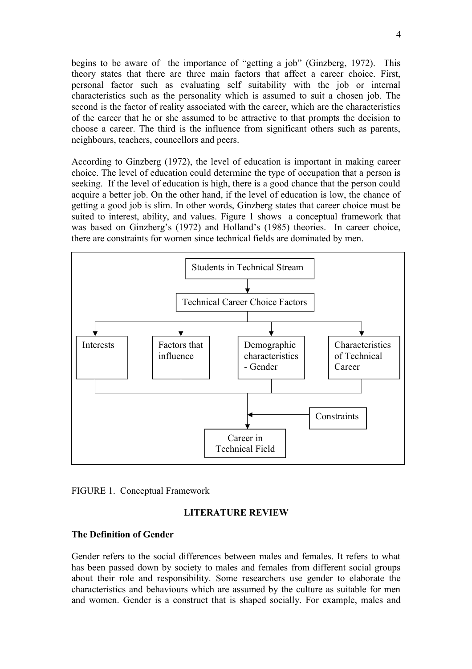begins to be aware of the importance of "getting a job" (Ginzberg, 1972). This theory states that there are three main factors that affect a career choice. First, personal factor such as evaluating self suitability with the job or internal characteristics such as the personality which is assumed to suit a chosen job. The second is the factor of reality associated with the career, which are the characteristics of the career that he or she assumed to be attractive to that prompts the decision to choose a career. The third is the influence from significant others such as parents, neighbours, teachers, councellors and peers.

According to Ginzberg (1972), the level of education is important in making career choice. The level of education could determine the type of occupation that a person is seeking. If the level of education is high, there is a good chance that the person could acquire a better job. On the other hand, if the level of education is low, the chance of getting a good job is slim. In other words, Ginzberg states that career choice must be suited to interest, ability, and values. Figure 1 shows a conceptual framework that was based on Ginzberg's (1972) and Holland's (1985) theories. In career choice, there are constraints for women since technical fields are dominated by men.



FIGURE 1. Conceptual Framework

#### **LITERATURE REVIEW**

### **The Definition of Gender**

Gender refers to the social differences between males and females. It refers to what has been passed down by society to males and females from different social groups about their role and responsibility. Some researchers use gender to elaborate the characteristics and behaviours which are assumed by the culture as suitable for men and women. Gender is a construct that is shaped socially. For example, males and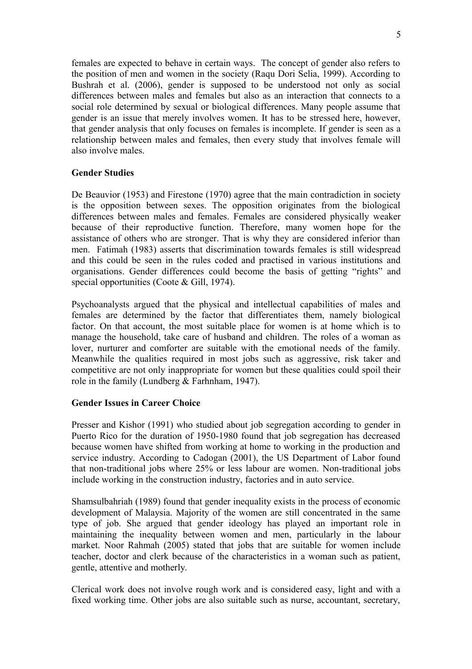females are expected to behave in certain ways. The concept of gender also refers to the position of men and women in the society (Raqu Dori Selia, 1999). According to Bushrah et al. (2006), gender is supposed to be understood not only as social differences between males and females but also as an interaction that connects to a social role determined by sexual or biological differences. Many people assume that gender is an issue that merely involves women. It has to be stressed here, however, that gender analysis that only focuses on females is incomplete. If gender is seen as a relationship between males and females, then every study that involves female will also involve males.

# **Gender Studies**

De Beauvior (1953) and Firestone (1970) agree that the main contradiction in society is the opposition between sexes. The opposition originates from the biological differences between males and females. Females are considered physically weaker because of their reproductive function. Therefore, many women hope for the assistance of others who are stronger. That is why they are considered inferior than men. Fatimah (1983) asserts that discrimination towards females is still widespread and this could be seen in the rules coded and practised in various institutions and organisations. Gender differences could become the basis of getting "rights" and special opportunities (Coote & Gill, 1974).

Psychoanalysts argued that the physical and intellectual capabilities of males and females are determined by the factor that differentiates them, namely biological factor. On that account, the most suitable place for women is at home which is to manage the household, take care of husband and children. The roles of a woman as lover, nurturer and comforter are suitable with the emotional needs of the family. Meanwhile the qualities required in most jobs such as aggressive, risk taker and competitive are not only inappropriate for women but these qualities could spoil their role in the family (Lundberg & Farhnham, 1947).

## **Gender Issues in Career Choice**

Presser and Kishor (1991) who studied about job segregation according to gender in Puerto Rico for the duration of 1950-1980 found that job segregation has decreased because women have shifted from working at home to working in the production and service industry. According to Cadogan (2001), the US Department of Labor found that non-traditional jobs where 25% or less labour are women. Non-traditional jobs include working in the construction industry, factories and in auto service.

Shamsulbahriah (1989) found that gender inequality exists in the process of economic development of Malaysia. Majority of the women are still concentrated in the same type of job. She argued that gender ideology has played an important role in maintaining the inequality between women and men, particularly in the labour market. Noor Rahmah (2005) stated that jobs that are suitable for women include teacher, doctor and clerk because of the characteristics in a woman such as patient, gentle, attentive and motherly.

Clerical work does not involve rough work and is considered easy, light and with a fixed working time. Other jobs are also suitable such as nurse, accountant, secretary,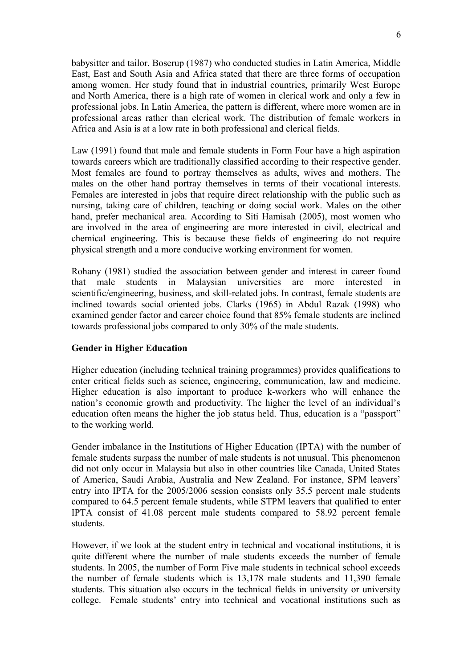babysitter and tailor. Boserup (1987) who conducted studies in Latin America, Middle East, East and South Asia and Africa stated that there are three forms of occupation among women. Her study found that in industrial countries, primarily West Europe and North America, there is a high rate of women in clerical work and only a few in professional jobs. In Latin America, the pattern is different, where more women are in professional areas rather than clerical work. The distribution of female workers in Africa and Asia is at a low rate in both professional and clerical fields.

Law (1991) found that male and female students in Form Four have a high aspiration towards careers which are traditionally classified according to their respective gender. Most females are found to portray themselves as adults, wives and mothers. The males on the other hand portray themselves in terms of their vocational interests. Females are interested in jobs that require direct relationship with the public such as nursing, taking care of children, teaching or doing social work. Males on the other hand, prefer mechanical area. According to Siti Hamisah (2005), most women who are involved in the area of engineering are more interested in civil, electrical and chemical engineering. This is because these fields of engineering do not require physical strength and a more conducive working environment for women.

Rohany (1981) studied the association between gender and interest in career found that male students in Malaysian universities are more interested in scientific/engineering, business, and skill-related jobs. In contrast, female students are inclined towards social oriented jobs. Clarks (1965) in Abdul Razak (1998) who examined gender factor and career choice found that 85% female students are inclined towards professional jobs compared to only 30% of the male students.

## **Gender in Higher Education**

Higher education (including technical training programmes) provides qualifications to enter critical fields such as science, engineering, communication, law and medicine. Higher education is also important to produce k-workers who will enhance the nation's economic growth and productivity. The higher the level of an individual's education often means the higher the job status held. Thus, education is a "passport" to the working world.

Gender imbalance in the Institutions of Higher Education (IPTA) with the number of female students surpass the number of male students is not unusual. This phenomenon did not only occur in Malaysia but also in other countries like Canada, United States of America, Saudi Arabia, Australia and New Zealand. For instance, SPM leavers' entry into IPTA for the 2005/2006 session consists only 35.5 percent male students compared to 64.5 percent female students, while STPM leavers that qualified to enter IPTA consist of 41.08 percent male students compared to 58.92 percent female students.

However, if we look at the student entry in technical and vocational institutions, it is quite different where the number of male students exceeds the number of female students. In 2005, the number of Form Five male students in technical school exceeds the number of female students which is 13,178 male students and 11,390 female students. This situation also occurs in the technical fields in university or university college. Female students' entry into technical and vocational institutions such as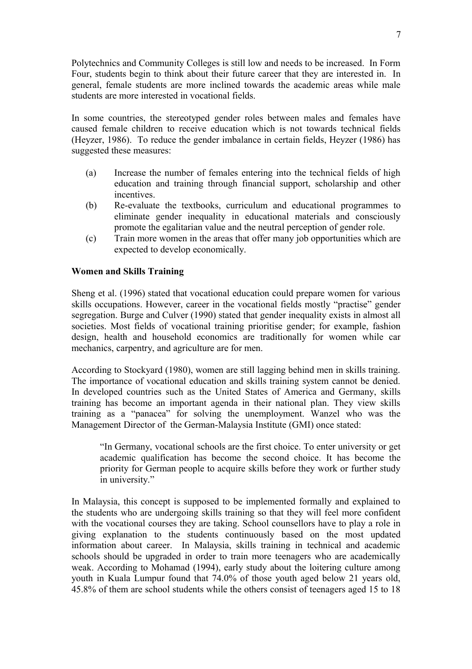Polytechnics and Community Colleges is still low and needs to be increased. In Form Four, students begin to think about their future career that they are interested in. In general, female students are more inclined towards the academic areas while male students are more interested in vocational fields.

In some countries, the stereotyped gender roles between males and females have caused female children to receive education which is not towards technical fields (Heyzer, 1986). To reduce the gender imbalance in certain fields, Heyzer (1986) has suggested these measures:

- (a) Increase the number of females entering into the technical fields of high education and training through financial support, scholarship and other incentives.
- (b) Re-evaluate the textbooks, curriculum and educational programmes to eliminate gender inequality in educational materials and consciously promote the egalitarian value and the neutral perception of gender role.
- (c) Train more women in the areas that offer many job opportunities which are expected to develop economically.

# **Women and Skills Training**

Sheng et al. (1996) stated that vocational education could prepare women for various skills occupations. However, career in the vocational fields mostly "practise" gender segregation. Burge and Culver (1990) stated that gender inequality exists in almost all societies. Most fields of vocational training prioritise gender; for example, fashion design, health and household economics are traditionally for women while car mechanics, carpentry, and agriculture are for men.

According to Stockyard (1980), women are still lagging behind men in skills training. The importance of vocational education and skills training system cannot be denied. In developed countries such as the United States of America and Germany, skills training has become an important agenda in their national plan. They view skills training as a "panacea" for solving the unemployment. Wanzel who was the Management Director of the German-Malaysia Institute (GMI) once stated:

"In Germany, vocational schools are the first choice. To enter university or get academic qualification has become the second choice. It has become the priority for German people to acquire skills before they work or further study in university."

In Malaysia, this concept is supposed to be implemented formally and explained to the students who are undergoing skills training so that they will feel more confident with the vocational courses they are taking. School counsellors have to play a role in giving explanation to the students continuously based on the most updated information about career. In Malaysia, skills training in technical and academic schools should be upgraded in order to train more teenagers who are academically weak. According to Mohamad (1994), early study about the loitering culture among youth in Kuala Lumpur found that 74.0% of those youth aged below 21 years old, 45.8% of them are school students while the others consist of teenagers aged 15 to 18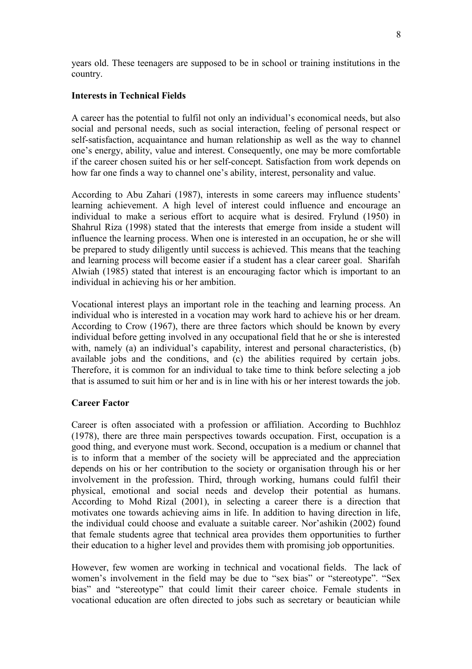years old. These teenagers are supposed to be in school or training institutions in the country.

#### **Interests in Technical Fields**

A career has the potential to fulfil not only an individual's economical needs, but also social and personal needs, such as social interaction, feeling of personal respect or self-satisfaction, acquaintance and human relationship as well as the way to channel one's energy, ability, value and interest. Consequently, one may be more comfortable if the career chosen suited his or her self-concept. Satisfaction from work depends on how far one finds a way to channel one's ability, interest, personality and value.

According to Abu Zahari (1987), interests in some careers may influence students' learning achievement. A high level of interest could influence and encourage an individual to make a serious effort to acquire what is desired. Frylund (1950) in Shahrul Riza (1998) stated that the interests that emerge from inside a student will influence the learning process. When one is interested in an occupation, he or she will be prepared to study diligently until success is achieved. This means that the teaching and learning process will become easier if a student has a clear career goal. Sharifah Alwiah (1985) stated that interest is an encouraging factor which is important to an individual in achieving his or her ambition.

Vocational interest plays an important role in the teaching and learning process. An individual who is interested in a vocation may work hard to achieve his or her dream. According to Crow (1967), there are three factors which should be known by every individual before getting involved in any occupational field that he or she is interested with, namely (a) an individual's capability, interest and personal characteristics, (b) available jobs and the conditions, and (c) the abilities required by certain jobs. Therefore, it is common for an individual to take time to think before selecting a job that is assumed to suit him or her and is in line with his or her interest towards the job.

#### **Career Factor**

Career is often associated with a profession or affiliation. According to Buchhloz (1978), there are three main perspectives towards occupation. First, occupation is a good thing, and everyone must work. Second, occupation is a medium or channel that is to inform that a member of the society will be appreciated and the appreciation depends on his or her contribution to the society or organisation through his or her involvement in the profession. Third, through working, humans could fulfil their physical, emotional and social needs and develop their potential as humans. According to Mohd Rizal (2001), in selecting a career there is a direction that motivates one towards achieving aims in life. In addition to having direction in life, the individual could choose and evaluate a suitable career. Nor'ashikin (2002) found that female students agree that technical area provides them opportunities to further their education to a higher level and provides them with promising job opportunities.

However, few women are working in technical and vocational fields. The lack of women's involvement in the field may be due to "sex bias" or "stereotype". "Sex bias" and "stereotype" that could limit their career choice. Female students in vocational education are often directed to jobs such as secretary or beautician while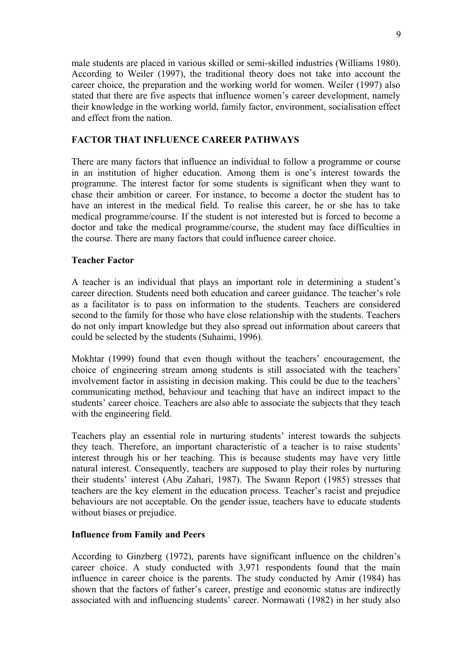male students are placed in various skilled or semi-skilled industries (Williams 1980). According to Weiler (1997), the traditional theory does not take into account the career choice, the preparation and the working world for women. Weiler (1997) also stated that there are five aspects that influence women's career development, namely their knowledge in the working world, family factor, environment, socialisation effect and effect from the nation.

## **FACTOR THAT INFLUENCE CAREER PATHWAYS**

There are many factors that influence an individual to follow a programme or course in an institution of higher education. Among them is one's interest towards the programme. The interest factor for some students is significant when they want to chase their ambition or career. For instance, to become a doctor the student has to have an interest in the medical field. To realise this career, he or she has to take medical programme/course. If the student is not interested but is forced to become a doctor and take the medical programme/course, the student may face difficulties in the course. There are many factors that could influence career choice.

## **Teacher Factor**

A teacher is an individual that plays an important role in determining a student's career direction. Students need both education and career guidance. The teacher's role as a facilitator is to pass on information to the students. Teachers are considered second to the family for those who have close relationship with the students. Teachers do not only impart knowledge but they also spread out information about careers that could be selected by the students (Suhaimi, 1996).

Mokhtar (1999) found that even though without the teachers' encouragement, the choice of engineering stream among students is still associated with the teachers' involvement factor in assisting in decision making. This could be due to the teachers' communicating method, behaviour and teaching that have an indirect impact to the students' career choice. Teachers are also able to associate the subjects that they teach with the engineering field.

Teachers play an essential role in nurturing students' interest towards the subjects they teach. Therefore, an important characteristic of a teacher is to raise students' interest through his or her teaching. This is because students may have very little natural interest. Consequently, teachers are supposed to play their roles by nurturing their students' interest (Abu Zahari, 1987). The Swann Report (1985) stresses that teachers are the key element in the education process. Teacher's racist and prejudice behaviours are not acceptable. On the gender issue, teachers have to educate students without biases or prejudice.

# **Influence from Family and Peers**

According to Ginzberg (1972), parents have significant influence on the children's career choice. A study conducted with 3,971 respondents found that the main influence in career choice is the parents. The study conducted by Amir (1984) has shown that the factors of father's career, prestige and economic status are indirectly associated with and influencing students' career. Normawati (1982) in her study also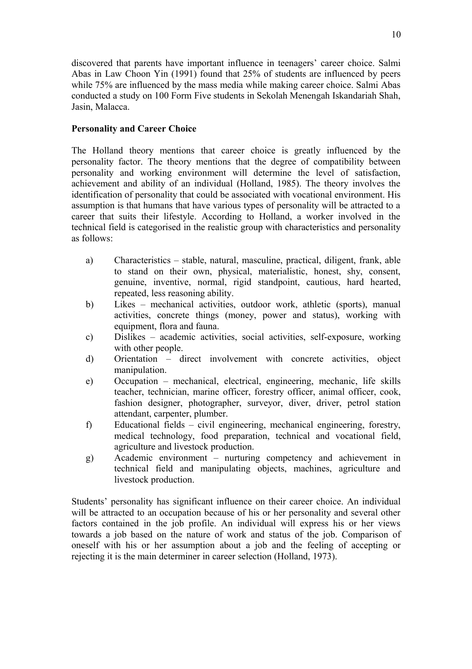discovered that parents have important influence in teenagers' career choice. Salmi Abas in Law Choon Yin (1991) found that 25% of students are influenced by peers while 75% are influenced by the mass media while making career choice. Salmi Abas conducted a study on 100 Form Five students in Sekolah Menengah Iskandariah Shah, Jasin, Malacca.

# **Personality and Career Choice**

The Holland theory mentions that career choice is greatly influenced by the personality factor. The theory mentions that the degree of compatibility between personality and working environment will determine the level of satisfaction, achievement and ability of an individual (Holland, 1985). The theory involves the identification of personality that could be associated with vocational environment. His assumption is that humans that have various types of personality will be attracted to a career that suits their lifestyle. According to Holland, a worker involved in the technical field is categorised in the realistic group with characteristics and personality as follows:

- a) Characteristics stable, natural, masculine, practical, diligent, frank, able to stand on their own, physical, materialistic, honest, shy, consent, genuine, inventive, normal, rigid standpoint, cautious, hard hearted, repeated, less reasoning ability.
- b) Likes mechanical activities, outdoor work, athletic (sports), manual activities, concrete things (money, power and status), working with equipment, flora and fauna.
- c) Dislikes academic activities, social activities, self-exposure, working with other people.
- d) Orientation direct involvement with concrete activities, object manipulation.
- e) Occupation mechanical, electrical, engineering, mechanic, life skills teacher, technician, marine officer, forestry officer, animal officer, cook, fashion designer, photographer, surveyor, diver, driver, petrol station attendant, carpenter, plumber.
- f) Educational fields civil engineering, mechanical engineering, forestry, medical technology, food preparation, technical and vocational field, agriculture and livestock production.
- g) Academic environment nurturing competency and achievement in technical field and manipulating objects, machines, agriculture and livestock production.

Students' personality has significant influence on their career choice. An individual will be attracted to an occupation because of his or her personality and several other factors contained in the job profile. An individual will express his or her views towards a job based on the nature of work and status of the job. Comparison of oneself with his or her assumption about a job and the feeling of accepting or rejecting it is the main determiner in career selection (Holland, 1973).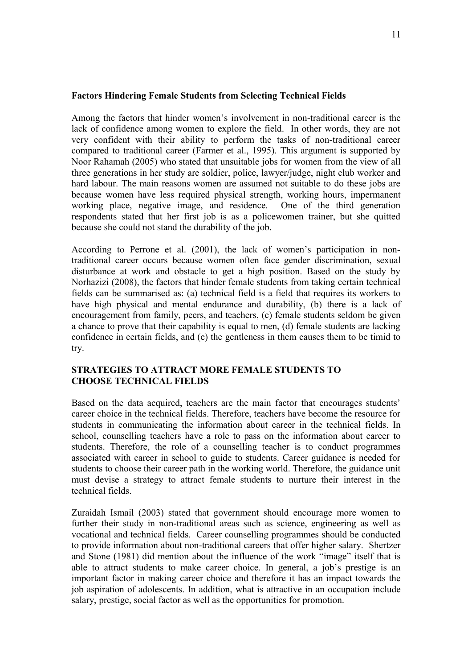### **Factors Hindering Female Students from Selecting Technical Fields**

Among the factors that hinder women's involvement in non-traditional career is the lack of confidence among women to explore the field. In other words, they are not very confident with their ability to perform the tasks of non-traditional career compared to traditional career (Farmer et al., 1995). This argument is supported by Noor Rahamah (2005) who stated that unsuitable jobs for women from the view of all three generations in her study are soldier, police, lawyer/judge, night club worker and hard labour. The main reasons women are assumed not suitable to do these jobs are because women have less required physical strength, working hours, impermanent working place, negative image, and residence. One of the third generation respondents stated that her first job is as a policewomen trainer, but she quitted because she could not stand the durability of the job.

According to Perrone et al. (2001), the lack of women's participation in nontraditional career occurs because women often face gender discrimination, sexual disturbance at work and obstacle to get a high position. Based on the study by Norhazizi (2008), the factors that hinder female students from taking certain technical fields can be summarised as: (a) technical field is a field that requires its workers to have high physical and mental endurance and durability, (b) there is a lack of encouragement from family, peers, and teachers, (c) female students seldom be given a chance to prove that their capability is equal to men, (d) female students are lacking confidence in certain fields, and (e) the gentleness in them causes them to be timid to try.

# **STRATEGIES TO ATTRACT MORE FEMALE STUDENTS TO CHOOSE TECHNICAL FIELDS**

Based on the data acquired, teachers are the main factor that encourages students' career choice in the technical fields. Therefore, teachers have become the resource for students in communicating the information about career in the technical fields. In school, counselling teachers have a role to pass on the information about career to students. Therefore, the role of a counselling teacher is to conduct programmes associated with career in school to guide to students. Career guidance is needed for students to choose their career path in the working world. Therefore, the guidance unit must devise a strategy to attract female students to nurture their interest in the technical fields.

Zuraidah Ismail (2003) stated that government should encourage more women to further their study in non-traditional areas such as science, engineering as well as vocational and technical fields. Career counselling programmes should be conducted to provide information about non-traditional careers that offer higher salary. Shertzer and Stone (1981) did mention about the influence of the work "image" itself that is able to attract students to make career choice. In general, a job's prestige is an important factor in making career choice and therefore it has an impact towards the job aspiration of adolescents. In addition, what is attractive in an occupation include salary, prestige, social factor as well as the opportunities for promotion.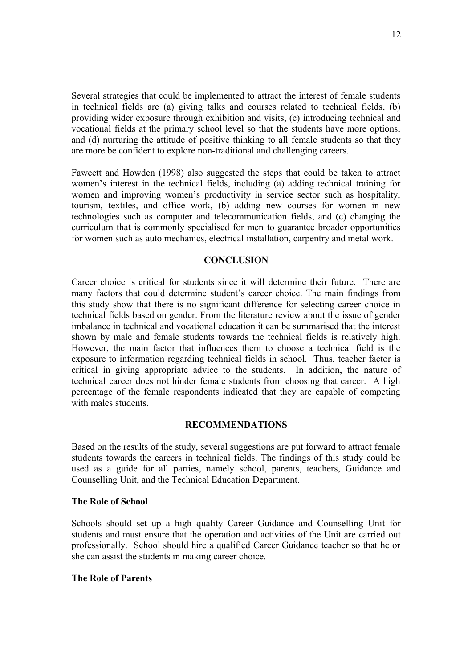Several strategies that could be implemented to attract the interest of female students in technical fields are (a) giving talks and courses related to technical fields, (b) providing wider exposure through exhibition and visits, (c) introducing technical and vocational fields at the primary school level so that the students have more options, and (d) nurturing the attitude of positive thinking to all female students so that they are more be confident to explore non-traditional and challenging careers.

Fawcett and Howden (1998) also suggested the steps that could be taken to attract women's interest in the technical fields, including (a) adding technical training for women and improving women's productivity in service sector such as hospitality, tourism, textiles, and office work, (b) adding new courses for women in new technologies such as computer and telecommunication fields, and (c) changing the curriculum that is commonly specialised for men to guarantee broader opportunities for women such as auto mechanics, electrical installation, carpentry and metal work.

#### **CONCLUSION**

Career choice is critical for students since it will determine their future. There are many factors that could determine student's career choice. The main findings from this study show that there is no significant difference for selecting career choice in technical fields based on gender. From the literature review about the issue of gender imbalance in technical and vocational education it can be summarised that the interest shown by male and female students towards the technical fields is relatively high. However, the main factor that influences them to choose a technical field is the exposure to information regarding technical fields in school. Thus, teacher factor is critical in giving appropriate advice to the students. In addition, the nature of technical career does not hinder female students from choosing that career. A high percentage of the female respondents indicated that they are capable of competing with males students.

### **RECOMMENDATIONS**

Based on the results of the study, several suggestions are put forward to attract female students towards the careers in technical fields. The findings of this study could be used as a guide for all parties, namely school, parents, teachers, Guidance and Counselling Unit, and the Technical Education Department.

#### **The Role of School**

Schools should set up a high quality Career Guidance and Counselling Unit for students and must ensure that the operation and activities of the Unit are carried out professionally. School should hire a qualified Career Guidance teacher so that he or she can assist the students in making career choice.

### **The Role of Parents**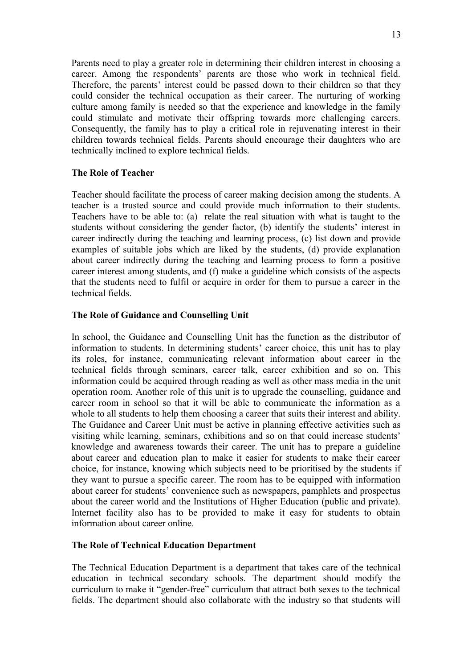Parents need to play a greater role in determining their children interest in choosing a career. Among the respondents' parents are those who work in technical field. Therefore, the parents' interest could be passed down to their children so that they could consider the technical occupation as their career. The nurturing of working culture among family is needed so that the experience and knowledge in the family could stimulate and motivate their offspring towards more challenging careers. Consequently, the family has to play a critical role in rejuvenating interest in their children towards technical fields. Parents should encourage their daughters who are technically inclined to explore technical fields.

## **The Role of Teacher**

Teacher should facilitate the process of career making decision among the students. A teacher is a trusted source and could provide much information to their students. Teachers have to be able to: (a) relate the real situation with what is taught to the students without considering the gender factor, (b) identify the students' interest in career indirectly during the teaching and learning process, (c) list down and provide examples of suitable jobs which are liked by the students, (d) provide explanation about career indirectly during the teaching and learning process to form a positive career interest among students, and (f) make a guideline which consists of the aspects that the students need to fulfil or acquire in order for them to pursue a career in the technical fields.

## **The Role of Guidance and Counselling Unit**

In school, the Guidance and Counselling Unit has the function as the distributor of information to students. In determining students' career choice, this unit has to play its roles, for instance, communicating relevant information about career in the technical fields through seminars, career talk, career exhibition and so on. This information could be acquired through reading as well as other mass media in the unit operation room. Another role of this unit is to upgrade the counselling, guidance and career room in school so that it will be able to communicate the information as a whole to all students to help them choosing a career that suits their interest and ability. The Guidance and Career Unit must be active in planning effective activities such as visiting while learning, seminars, exhibitions and so on that could increase students' knowledge and awareness towards their career. The unit has to prepare a guideline about career and education plan to make it easier for students to make their career choice, for instance, knowing which subjects need to be prioritised by the students if they want to pursue a specific career. The room has to be equipped with information about career for students' convenience such as newspapers, pamphlets and prospectus about the career world and the Institutions of Higher Education (public and private). Internet facility also has to be provided to make it easy for students to obtain information about career online.

## **The Role of Technical Education Department**

The Technical Education Department is a department that takes care of the technical education in technical secondary schools. The department should modify the curriculum to make it "gender-free" curriculum that attract both sexes to the technical fields. The department should also collaborate with the industry so that students will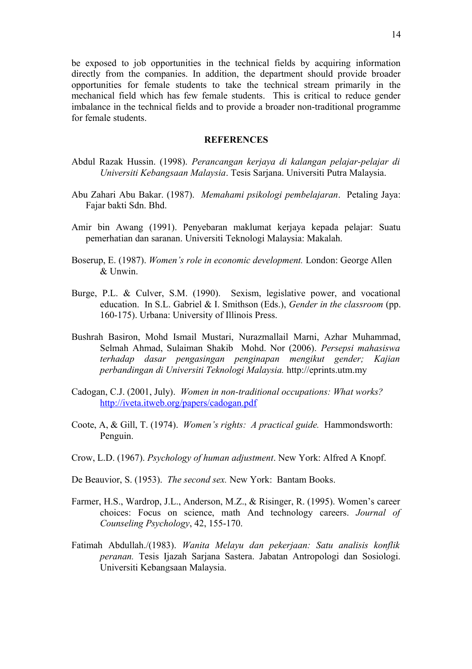be exposed to job opportunities in the technical fields by acquiring information directly from the companies. In addition, the department should provide broader opportunities for female students to take the technical stream primarily in the mechanical field which has few female students. This is critical to reduce gender imbalance in the technical fields and to provide a broader non-traditional programme for female students.

#### **REFERENCES**

- Abdul Razak Hussin. (1998). *Perancangan kerjaya di kalangan pelajar-pelajar di Universiti Kebangsaan Malaysia*. Tesis Sarjana. Universiti Putra Malaysia.
- Abu Zahari Abu Bakar. (1987). *Memahami psikologi pembelajaran*. Petaling Jaya: Fajar bakti Sdn. Bhd.
- Amir bin Awang (1991). Penyebaran maklumat kerjaya kepada pelajar: Suatu pemerhatian dan saranan. Universiti Teknologi Malaysia: Makalah.
- Boserup, E. (1987). *Women's role in economic development.* London: George Allen & Unwin.
- Burge, P.L. & Culver, S.M. (1990). Sexism, legislative power, and vocational education. In S.L. Gabriel & I. Smithson (Eds.), *Gender in the classroom* (pp. 160-175). Urbana: University of Illinois Press.
- Bushrah Basiron, Mohd Ismail Mustari, Nurazmallail Marni, Azhar Muhammad, Selmah Ahmad, Sulaiman Shakib Mohd. Nor (2006). *Persepsi mahasiswa terhadap dasar pengasingan penginapan mengikut gender; Kajian perbandingan di Universiti Teknologi Malaysia.* http://eprints.utm.my
- Cadogan, C.J. (2001, July). *Women in non-traditional occupations: What works?* <http://iveta.itweb.org/papers/cadogan.pdf>
- Coote, A, & Gill, T. (1974). *Women's rights: A practical guide.* Hammondsworth: Penguin.
- Crow, L.D. (1967). *Psychology of human adjustment*. New York: Alfred A Knopf.
- De Beauvior, S. (1953). *The second sex.* New York: Bantam Books.
- Farmer, H.S., Wardrop, J.L., Anderson, M.Z., & Risinger, R. (1995). Women's career choices: Focus on science, math And technology careers. *Journal of Counseling Psychology*, 42, 155-170.
- Fatimah Abdullah./(1983). *Wanita Melayu dan pekerjaan: Satu analisis konflik peranan.* Tesis Ijazah Sarjana Sastera. Jabatan Antropologi dan Sosiologi. Universiti Kebangsaan Malaysia.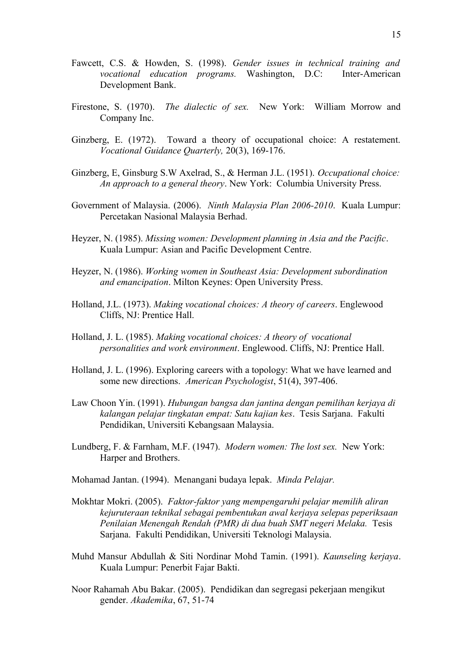- Fawcett, C.S. & Howden, S. (1998). *Gender issues in technical training and vocational education programs.* Washington, D.C: Inter-American Development Bank.
- Firestone, S. (1970). *The dialectic of sex.* New York: William Morrow and Company Inc.
- Ginzberg, E. (1972). Toward a theory of occupational choice: A restatement. *Vocational Guidance Quarterly,* 20(3), 169-176.
- Ginzberg, E, Ginsburg S.W Axelrad, S., & Herman J.L. (1951). *Occupational choice: An approach to a general theory*. New York: Columbia University Press.
- Government of Malaysia. (2006). *Ninth Malaysia Plan 2006-2010*. Kuala Lumpur: Percetakan Nasional Malaysia Berhad.
- Heyzer, N. (1985). *Missing women: Development planning in Asia and the Pacific*. Kuala Lumpur: Asian and Pacific Development Centre.
- Heyzer, N. (1986). *Working women in Southeast Asia: Development subordination and emancipation*. Milton Keynes: Open University Press.
- Holland, J.L. (1973). *Making vocational choices: A theory of careers*. Englewood Cliffs, NJ: Prentice Hall.
- Holland, J. L. (1985). *Making vocational choices: A theory of vocational personalities and work environment*. Englewood. Cliffs, NJ: Prentice Hall.
- Holland, J. L. (1996). Exploring careers with a topology: What we have learned and some new directions. *American Psychologist*, 51(4), 397-406.
- Law Choon Yin. (1991). *Hubungan bangsa dan jantina dengan pemilihan kerjaya di kalangan pelajar tingkatan empat: Satu kajian kes*. Tesis Sarjana. Fakulti Pendidikan, Universiti Kebangsaan Malaysia.
- Lundberg, F. & Farnham, M.F. (1947). *Modern women: The lost sex.* New York: Harper and Brothers.
- Mohamad Jantan. (1994). Menangani budaya lepak. *Minda Pelajar.*
- Mokhtar Mokri. (2005). *Faktor-faktor yang mempengaruhi pelajar memilih aliran kejuruteraan teknikal sebagai pembentukan awal kerjaya selepas peperiksaan Penilaian Menengah Rendah (PMR) di dua buah SMT negeri Melaka.* Tesis Sarjana. Fakulti Pendidikan, Universiti Teknologi Malaysia.
- Muhd Mansur Abdullah & Siti Nordinar Mohd Tamin. (1991). *Kaunseling kerjaya*. Kuala Lumpur: Penerbit Fajar Bakti.
- Noor Rahamah Abu Bakar. (2005). Pendidikan dan segregasi pekerjaan mengikut gender. *Akademika*, 67, 51-74